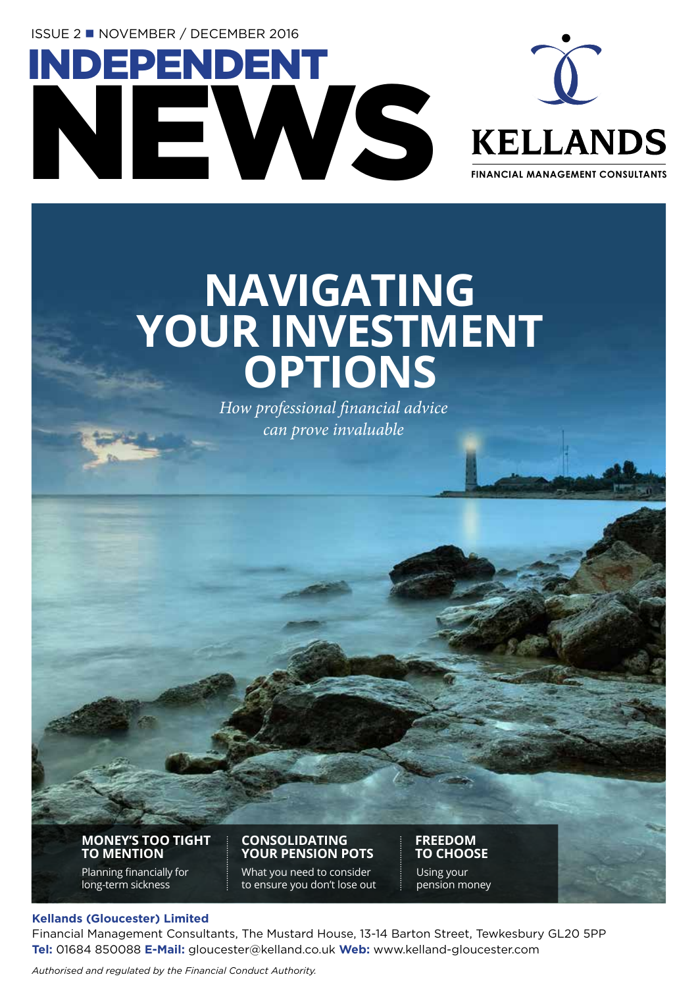ISSUE 2 n NOVEMBER / DECEMBER 2016

INDEPENDENT

NEWS



**FINANCIAL MANAGEMENT CONSULTANTS**

## **NAVIGATING YOUR INVESTMENT OPTIONS**

*How professional financial advice can prove invaluable*

**MONEY'S TOO TIGHT TO MENTION**

Planning financially for long-term sickness

**CONSOLIDATING YOUR PENSION POTS**

What you need to consider to ensure you don't lose out

**FREEDOM TO CHOOSE** Using your pension money

#### **Kellands (Gloucester) Limited**

Financial Management Consultants, The Mustard House, 13-14 Barton Street, Tewkesbury GL20 5PP **Tel:** 01684 850088 **E-Mail:** gloucester@kelland.co.uk **Web:** www.kelland-gloucester.com

*Authorised and regulated by the Financial Conduct Authority.*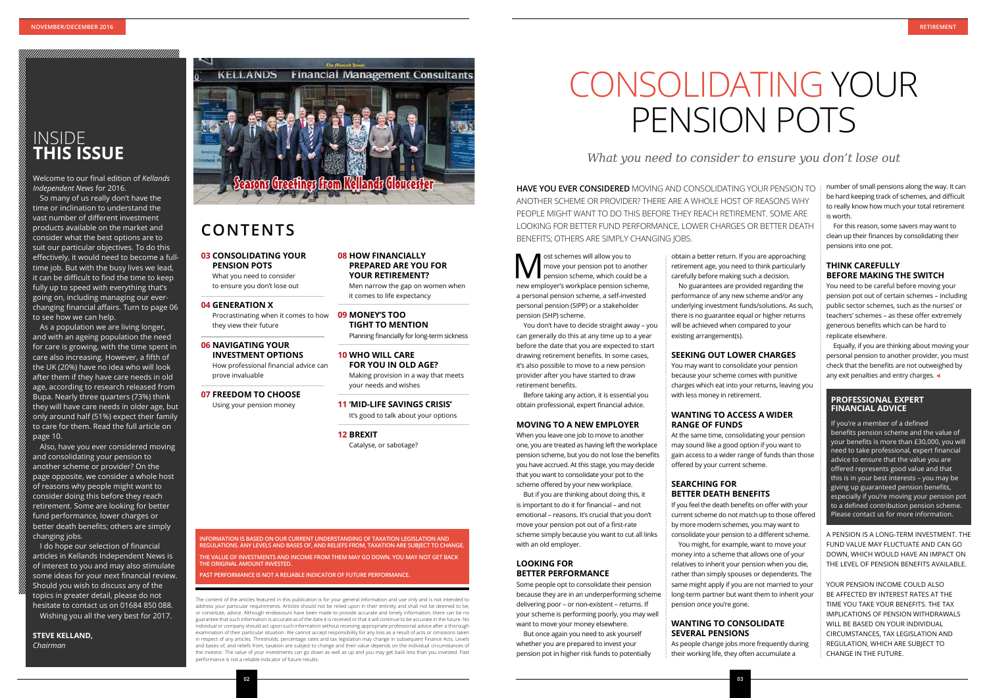The content of the articles featured in this publication is for your general information and use only and is not intended to address your particular requirements. Articles should not be relied upon in their entirety and shall not be deemed to be, or constitute, advice. Although endeavours have been made to provide accurate and timely information, there can be no guarantee that such information is accurate as of the date it is received or that it will continue to be accurate in the future. No individual or company should act upon such information without receiving appropriate professional advice after a thorough examination of their particular situation. We cannot accept responsibility for any loss as a result of acts or omissions taken in respect of any articles. Thresholds, percentage rates and tax legislation may change in subsequent Finance Acts. Levels and bases of, and reliefs from, taxation are subject to change and their value depends on the individual circumstances of the investor. The value of your investments can go down as well as up and you may get back less than you invested. Past performance is not a reliable indicator of future results.

### INSIDE **THIS ISSUE**

#### **03 CONSOLIDATING YOUR PENSION POTS**

What you need to consider to ensure you don't lose out

#### **04 GENERATION X**

Procrastinating when it comes to how they view their future

**06 NAVIGATING YOUR INVESTMENT OPTIONS** How professional financial advice can

prove invaluable

### **07 FREEDOM TO CHOOSE**

Using your pension money

**08 HOW FINANCIALLY** 

**PREPARED ARE YOU FOR YOUR RETIREMENT?**

Men narrow the gap on women when

it comes to life expectancy

### **09 MONEY'S TOO TIGHT TO MENTION**

Planning financially for long-term sickness

#### **10 WHO WILL CARE**

**FOR YOU IN OLD AGE?** Making provision in a way that meets your needs and wishes

**11 'MID-LIFE SAVINGS CRISIS'** It's good to talk about your options

**12 BREXIT** Catalyse, or sabotage?

Welcome to our final edition of *Kellands Independent News* for 2016.

> **M** ost schemes will allow you to<br>
> pension scheme, which could be a<br>
> persion scheme, which could be a<br>
> persion scheme move your pension pot to another new employer's workplace pension scheme, a personal pension scheme, a self-invested personal pension (SIPP) or a stakeholder pension (SHP) scheme.

So many of us really don't have the time or inclination to understand the vast number of different investment products available on the market and consider what the best options are to suit our particular objectives. To do this effectively, it would need to become a fulltime job. But with the busy lives we lead, it can be difficult to find the time to keep fully up to speed with everything that's going on, including managing our everchanging financial affairs. Turn to page 06 to see how we can help.

As a population we are living longer, and with an ageing population the need for care is growing, with the time spent in care also increasing. However, a fifth of the UK (20%) have no idea who will look after them if they have care needs in old age, according to research released from Bupa. Nearly three quarters (73%) think they will have care needs in older age, but only around half (51%) expect their family to care for them. Read the full article on page 10.

Also, have you ever considered moving and consolidating your pension to another scheme or provider? On the page opposite, we consider a whole host of reasons why people might want to consider doing this before they reach retirement. Some are looking for better fund performance, lower charges or better death benefits; others are simply changing jobs.

I do hope our selection of financial articles in Kellands Independent News is of interest to you and may also stimulate some ideas for your next financial review. Should you wish to discuss any of the topics in greater detail, please do not hesitate to contact us on 01684 850 088. Wishing you all the very best for 2017.

**STEVE KELLAND,**  *Chairman*

**INFORMATION IS BASED ON OUR CURRENT UNDERSTANDING OF TAXATION LEGISLATION AND REGULATIONS. ANY LEVELS AND BASES OF, AND RELIEFS FROM, TAXATION ARE SUBJECT TO CHANGE. THE VALUE OF INVESTMENTS AND INCOME FROM THEM MAY GO DOWN. YOU MAY NOT GET BACK THE ORIGINAL AMOUNT INVESTED.**

Equally, if you are thinking about moving your personal pension to another provider, you must check that the benefits are not outweighed by any exit penalties and entry charges.  $\triangleleft$ 

**PAST PERFORMANCE IS NOT A RELIABLE INDICATOR OF FUTURE PERFORMANCE.**

### **CONTENTS**

## CONSOLIDATING YOUR PENSION POTS

*What you need to consider to ensure you don't lose out*

You don't have to decide straight away – you can generally do this at any time up to a year before the date that you are expected to start drawing retirement benefits. In some cases, it's also possible to move to a new pension provider after you have started to draw retirement benefits.

Before taking any action, it is essential you obtain professional, expert financial advice.

#### **MOVING TO A NEW EMPLOYER**

When you leave one job to move to another one, you are treated as having left the workplace pension scheme, but you do not lose the benefits you have accrued. At this stage, you may decide that you want to consolidate your pot to the scheme offered by your new workplace.

But if you are thinking about doing this, it is important to do it for financial – and not emotional – reasons. It's crucial that you don't move your pension pot out of a first-rate scheme simply because you want to cut all links with an old employer.

#### **LOOKING FOR BETTER PERFORMANCE**

Some people opt to consolidate their pension because they are in an underperforming scheme delivering poor – or non-existent – returns. If your scheme is performing poorly, you may well want to move your money elsewhere.

But once again you need to ask yourself whether you are prepared to invest your pension pot in higher risk funds to potentially obtain a better return. If you are approaching retirement age, you need to think particularly carefully before making such a decision. No guarantees are provided regarding the performance of any new scheme and/or any underlying investment funds/solutions. As such, there is no guarantee equal or higher returns will be achieved when compared to your

existing arrangement(s).

#### **SEEKING OUT LOWER CHARGES**

You may want to consolidate your pension because your scheme comes with punitive charges which eat into your returns, leaving you with less money in retirement.

#### **WANTING TO ACCESS A WIDER RANGE OF FUNDS**

At the same time, consolidating your pension may sound like a good option if you want to gain access to a wider range of funds than those offered by your current scheme.

#### **SEARCHING FOR BETTER DEATH BENEFITS**

You might, for example, want to move your

If you feel the death benefits on offer with your current scheme do not match up to those offered by more modern schemes, you may want to consolidate your pension to a different scheme. money into a scheme that allows one of your relatives to inherit your pension when you die, rather than simply spouses or dependents. The same might apply if you are not married to your long-term partner but want them to inherit your pension once you're gone.

#### **WANTING TO CONSOLIDATE SEVERAL PENSIONS**

As people change jobs more frequently during their working life, they often accumulate a

number of small pensions along the way. It can be hard keeping track of schemes, and difficult to really know how much your total retirement is worth.

For this reason, some savers may want to clean up their finances by consolidating their pensions into one pot.

#### **THINK CAREFULLY BEFORE MAKING THE SWITCH**

You need to be careful before moving your pension pot out of certain schemes – including public sector schemes, such as the nurses' or teachers' schemes – as these offer extremely generous benefits which can be hard to replicate elsewhere.

A PENSION IS A LONG-TERM INVESTMENT. THE FUND VALUE MAY FLUCTUATE AND CAN GO DOWN, WHICH WOULD HAVE AN IMPACT ON THE LEVEL OF PENSION BENEFITS AVAILABLE.

YOUR PENSION INCOME COULD ALSO BE AFFECTED BY INTEREST RATES AT THE TIME YOU TAKE YOUR BENEFITS. THE TAX IMPLICATIONS OF PENSION WITHDRAWALS WILL BE BASED ON YOUR INDIVIDUAL CIRCUMSTANCES, TAX LEGISLATION AND REGULATION, WHICH ARE SUBJECT TO CHANGE IN THE FUTURE.

**HAVE YOU EVER CONSIDERED** MOVING AND CONSOLIDATING YOUR PENSION TO ANOTHER SCHEME OR PROVIDER? THERE ARE A WHOLE HOST OF REASONS WHY PEOPLE MIGHT WANT TO DO THIS BEFORE THEY REACH RETIREMENT. SOME ARE LOOKING FOR BETTER FUND PERFORMANCE, LOWER CHARGES OR BETTER DEATH BENEFITS; OTHERS ARE SIMPLY CHANGING JOBS.

#### **PROFESSIONAL EXPERT FINANCIAL ADVICE**

If you're a member of a defined benefits pension scheme and the value of your benefits is more than £30,000, you will need to take professional, expert financial advice to ensure that the value you are offered represents good value and that this is in your best interests – you may be giving up guaranteed pension benefits, especially if you're moving your pension pot to a defined contribution pension scheme. Please contact us for more information.

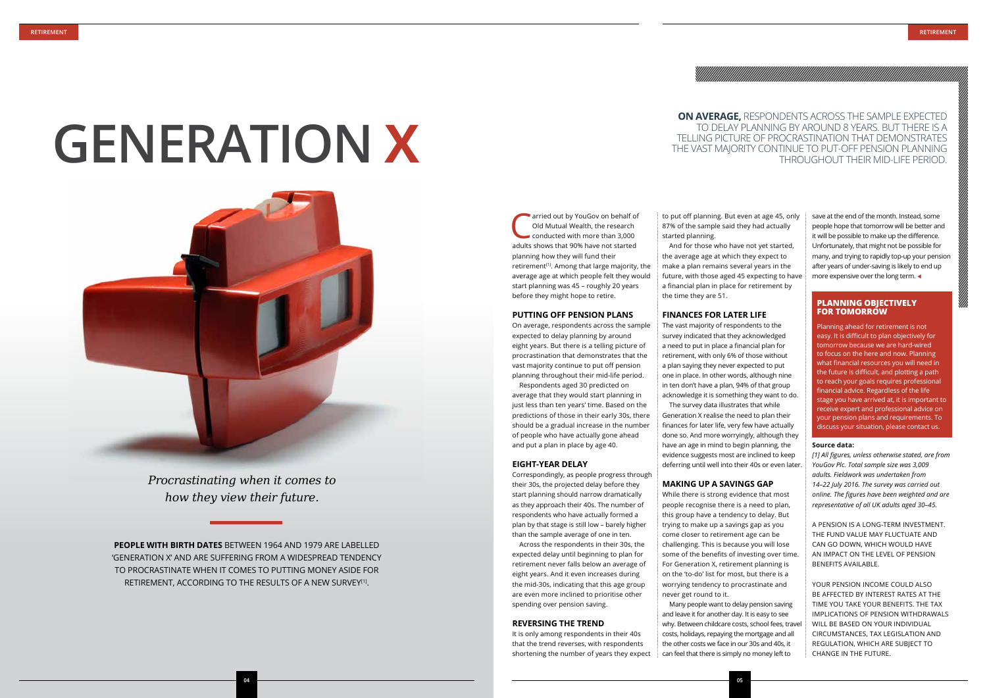start planning was 45 – roughly 20 years before they might hope to retire.

#### **PUTTING OFF PENSION PLANS**

On average, respondents across the sample expected to delay planning by around eight years. But there is a telling picture of procrastination that demonstrates that the vast majority continue to put off pension planning throughout their mid-life period.

Respondents aged 30 predicted on average that they would start planning in just less than ten years' time. Based on the predictions of those in their early 30s, there should be a gradual increase in the number of people who have actually gone ahead and put a plan in place by age 40.

arried out by YouGov on behalf of Old Mutual Wealth, the research conducted with more than 3,000 adults shows that 90% have not started planning how they will fund their retirement<sup>[1]</sup>. Among that large majority, the average age at which people felt they would started planning.

#### **EIGHT-YEAR DELAY**

Correspondingly, as people progress through their 30s, the projected delay before they start planning should narrow dramatically as they approach their 40s. The number of respondents who have actually formed a plan by that stage is still low – barely higher than the sample average of one in ten.

Across the respondents in their 30s, the expected delay until beginning to plan for retirement never falls below an average of eight years. And it even increases during the mid-30s, indicating that this age group are even more inclined to prioritise other spending over pension saving.

#### **REVERSING THE TREND**

It is only among respondents in their 40s that the trend reverses, with respondents shortening the number of years they expect save at the end of the month. Instead, some people hope that tomorrow will be better and it will be possible to make up the difference. Unfortunately, that might not be possible for many, and trying to rapidly top-up your pension after years of under-saving is likely to end up more expensive over the long term.  $\triangleleft$ 

to put off planning. But even at age 45, only 87% of the sample said they had actually

And for those who have not yet started, the average age at which they expect to make a plan remains several years in the future, with those aged 45 expecting to have a financial plan in place for retirement by the time they are 51.

#### **FINANCES FOR LATER LIFE**

**PEOPLE WITH BIRTH DATES** BETWEEN 1964 AND 1979 ARE LABELLED 'GENERATION X' AND ARE SUFFERING FROM A WIDESPREAD TENDENCY TO PROCRASTINATE WHEN IT COMES TO PUTTING MONEY ASIDE FOR RETIREMENT, ACCORDING TO THE RESULTS OF A NEW SURVEY<sup>[1]</sup>.

The vast majority of respondents to the survey indicated that they acknowledged a need to put in place a financial plan for retirement, with only 6% of those without a plan saying they never expected to put one in place. In other words, although nine in ten don't have a plan, 94% of that group acknowledge it is something they want to do. The survey data illustrates that while Generation X realise the need to plan their finances for later life, very few have actually done so. And more worryingly, although they have an age in mind to begin planning, the evidence suggests most are inclined to keep deferring until well into their 40s or even later.

#### **MAKING UP A SAVINGS GAP**

While there is strong evidence that most people recognise there is a need to plan, this group have a tendency to delay. But trying to make up a savings gap as you come closer to retirement age can be challenging. This is because you will lose some of the benefits of investing over time. For Generation X, retirement planning is on the 'to-do' list for most, but there is a worrying tendency to procrastinate and never get round to it.

Many people want to delay pension saving and leave it for another day. It is easy to see why. Between childcare costs, school fees, travel costs, holidays, repaying the mortgage and all the other costs we face in our 30s and 40s, it can feel that there is simply no money left to

#### **Source data:**

*[1] All figures, unless otherwise stated, are from YouGov Plc. Total sample size was 3,009 adults. Fieldwork was undertaken from 14–22 July 2016. The survey was carried out online. The figures have been weighted and are representative of all UK adults aged 30–45.*

A PENSION IS A LONG-TERM INVESTMENT. THE FUND VALUE MAY FLUCTUATE AND CAN GO DOWN, WHICH WOULD HAVE AN IMPACT ON THE LEVEL OF PENSION BENEFITS AVAILABLE.

YOUR PENSION INCOME COULD ALSO BE AFFECTED BY INTEREST RATES AT THE TIME YOU TAKE YOUR BENEFITS. THE TAX IMPLICATIONS OF PENSION WITHDRAWALS WILL BE BASED ON YOUR INDIVIDUAL CIRCUMSTANCES, TAX LEGISLATION AND REGULATION, WHICH ARE SUBJECT TO CHANGE IN THE FUTURE.

*Procrastinating when it comes to how they view their future.*

# **GENERATION X**



#### **PLANNING OBJECTIVELY FOR TOMORROW**

Planning ahead for retirement is not easy. It is difficult to plan objectively for tomorrow because we are hard-wired to focus on the here and now. Planning what financial resources you will need in the future is difficult, and plotting a path to reach your goals requires professional inancial advice. Regardless of the life stage you have arrived at, it is important to receive expert and professional advice on your pension plans and requirements. To discuss your situation, please contact us.

#### **ON AVERAGE,** RESPONDENTS ACROSS THE SAMPLE EXPECTED TO DELAY PLANNING BY AROUND 8 YEARS. BUT THERE IS A TELLING PICTURE OF PROCRASTINATION THAT DEMONSTRATES THE VAST MAJORITY CONTINUE TO PUT-OFF PENSION PLANNING THROUGHOUT THEIR MID-LIFE PERIOD.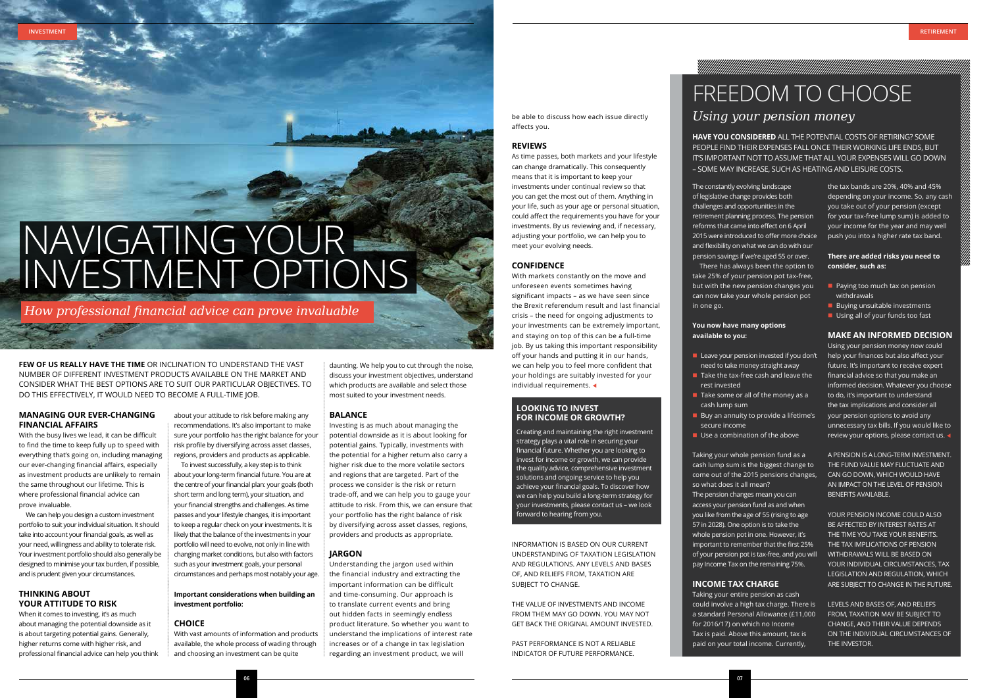**06**

#### **MANAGING OUR EVER-CHANGING FINANCIAL AFFAIRS**

With the busy lives we lead, it can be difficult to find the time to keep fully up to speed with everything that's going on, including managing our ever-changing financial affairs, especially as investment products are unlikely to remain the same throughout our lifetime. This is where professional financial advice can prove invaluable.

We can help you design a custom investment portfolio to suit your individual situation. It should take into account your financial goals, as well as your need, willingness and ability to tolerate risk. Your investment portfolio should also generally be designed to minimise your tax burden, if possible, and is prudent given your circumstances.

#### **THINKING ABOUT YOUR ATTITUDE TO RISK**

When it comes to investing, it's as much about managing the potential downside as it is about targeting potential gains. Generally, higher returns come with higher risk, and professional financial advice can help you think

about your attitude to risk before making any recommendations. It's also important to make sure your portfolio has the right balance for your risk profile by diversifying across asset classes, regions, providers and products as applicable.

To invest successfully, a key step is to think about your long-term financial future. You are at the centre of your financial plan: your goals (both short term and long term), your situation, and your financial strengths and challenges. As time passes and your lifestyle changes, it is important to keep a regular check on your investments. It is likely that the balance of the investments in your portfolio will need to evolve, not only in line with changing market conditions, but also with factors such as your investment goals, your personal circumstances and perhaps most notably your age.

**FEW OF US REALLY HAVE THE TIME** OR INCLINATION TO UNDERSTAND THE VAST NUMBER OF DIFFERENT INVESTMENT PRODUCTS AVAILABLE ON THE MARKET AND CONSIDER WHAT THE BEST OPTIONS ARE TO SUIT OUR PARTICULAR OBJECTIVES. TO DO THIS EFFECTIVELY, IT WOULD NEED TO BECOME A FULL-TIME JOB.

#### **Important considerations when building an investment portfolio:**

#### **CHOICE**

With vast amounts of information and products available, the whole process of wading through and choosing an investment can be quite

With markets constantly on the move and unforeseen events sometimes having significant impacts – as we have seen since the Brexit referendum result and last financial crisis – the need for ongoing adjustments to your investments can be extremely important, and staying on top of this can be a full-time job. By us taking this important responsibility off your hands and putting it in our hands, we can help you to feel more confident that your holdings are suitably invested for your individual requirements.  $\triangleleft$ 

daunting. We help you to cut through the noise, discuss your investment objectives, understand which products are available and select those most suited to your investment needs.

#### **BALANCE**

INFORMATION IS BASED ON OUR CURRENT UNDERSTANDING OF TAXATION LEGISLATION AND REGULATIONS. ANY LEVELS AND BASES OF, AND RELIEFS FROM, TAXATION ARE SUBIECT TO CHANGE.

Investing is as much about managing the potential downside as it is about looking for potential gains. Typically, investments with the potential for a higher return also carry a higher risk due to the more volatile sectors and regions that are targeted. Part of the process we consider is the risk or return trade-off, and we can help you to gauge your attitude to risk. From this, we can ensure that your portfolio has the right balance of risk by diversifying across asset classes, regions, providers and products as appropriate.

#### **JARGON**

Understanding the jargon used within the financial industry and extracting the important information can be difficult and time-consuming. Our approach is to translate current events and bring out hidden facts in seemingly endless product literature. So whether you want to understand the implications of interest rate increases or of a change in tax legislation regarding an investment product, we will

- 
- rest invested
- cash lump sum secure income
- $\blacksquare$  Use a combination of the above

be able to discuss how each issue directly affects you.

#### **REVIEWS**

As time passes, both markets and your lifestyle can change dramatically. This consequently means that it is important to keep your investments under continual review so that you can get the most out of them. Anything in your life, such as your age or personal situation, could affect the requirements you have for your investments. By us reviewing and, if necessary, adjusting your portfolio, we can help you to meet your evolving needs.

> Using your pension money now could help your finances but also affect your future. It's important to receive expert financial advice so that you make an informed decision. Whatever you choose to do, it's important to understand the tax implications and consider all your pension options to avoid any unnecessary tax bills. If you would like to review your options, please contact us.

#### **CONFIDENCE**

THE VALUE OF INVESTMENTS AND INCOME FROM THEM MAY GO DOWN. YOU MAY NOT GET BACK THE ORIGINAL AMOUNT INVESTED.

PAST PERFORMANCE IS NOT A RELIABLE INDICATOR OF FUTURE PERFORMANCE.

**INVESTMENT RETIREMENT**

#### **LOOKING TO INVEST FOR INCOME OR GROWTH?**

Creating and maintaining the right investment strategy plays a vital role in securing your financial future. Whether you are looking to invest for income or growth, we can provide the quality advice, comprehensive investment solutions and ongoing service to help you achieve your financial goals. To discover how we can help you build a long-term strategy for your investments, please contact us – we look forward to hearing from you.

## FREEDOM TO CHOOSE *Using your pension money*

AN MARKA MARKA MARKA MARKA MARKA MARKA MARKA MARKA MARKA MARKA MARKA MARKA MARKA MARKA MARKA MARKA MARKA MARKA

**HAVE YOU CONSIDERED** ALL THE POTENTIAL COSTS OF RETIRING? SOME PEOPLE FIND THEIR EXPENSES FALL ONCE THEIR WORKING LIFE ENDS, BUT IT'S IMPORTANT NOT TO ASSUME THAT ALL YOUR EXPENSES WILL GO DOWN – SOME MAY INCREASE, SUCH AS HEATING AND LEISURE COSTS.

**n** Leave your pension invested if you don't need to take money straight away  $\blacksquare$  Take the tax-free cash and leave the

 $\blacksquare$  Take some or all of the money as a

 $\blacksquare$  Buy an annuity to provide a lifetime's

The constantly evolving landscape of legislative change provides both challenges and opportunities in the retirement planning process. The pension reforms that came into effect on 6 April 2015 were introduced to offer more choice and flexibility on what we can do with our pension savings if we're aged 55 or over. There has always been the option to take 25% of your pension pot tax-free, but with the new pension changes you can now take your whole pension pot

in one go.

#### **You now have many options available to you:**

Taking your whole pension fund as a cash lump sum is the biggest change to come out of the 2015 pensions changes, so what does it all mean? The pension changes mean you can access your pension fund as and when you like from the age of 55 (rising to age 57 in 2028). One option is to take the whole pension pot in one. However, it's important to remember that the first 25% of your pension pot is tax-free, and you will pay Income Tax on the remaining 75%.

#### **INCOME TAX CHARGE**

Taking your entire pension as cash could involve a high tax charge. There is a standard Personal Allowance (£11,000 for 2016/17) on which no Income Tax is paid. Above this amount, tax is paid on your total income. Currently,

the tax bands are 20%, 40% and 45% depending on your income. So, any cash you take out of your pension (except for your tax-free lump sum) is added to your income for the year and may well push you into a higher rate tax band.

#### **There are added risks you need to consider, such as:**

- $\blacksquare$  Paying too much tax on pension withdrawals
- $\blacksquare$  Buying unsuitable investments
- $\blacksquare$  Using all of your funds too fast

#### **MAKE AN INFORMED DECISION**

A PENSION IS A LONG-TERM INVESTMENT. THE FUND VALUE MAY FLUCTUATE AND CAN GO DOWN, WHICH WOULD HAVE AN IMPACT ON THE LEVEL OF PENSION BENEFITS AVAILABLE.

YOUR PENSION INCOME COULD ALSO BE AFFECTED BY INTEREST RATES AT THE TIME YOU TAKE YOUR BENEFITS. THE TAX IMPLICATIONS OF PENSION WITHDRAWALS WILL BE BASED ON YOUR INDIVIDUAL CIRCUMSTANCES, TAX LEGISLATION AND REGULATION, WHICH ARE SUBIECT TO CHANGE IN THE FUTURE.

LEVELS AND BASES OF, AND RELIEFS FROM, TAXATION MAY BE SUBJECT TO CHANGE, AND THEIR VALUE DEPENDS ON THE INDIVIDUAL CIRCUMSTANCES OF THE INVESTOR.

*How professional financial advice can prove invaluable*

## NAVIGATING YOUR INVESTMENT OPTIONS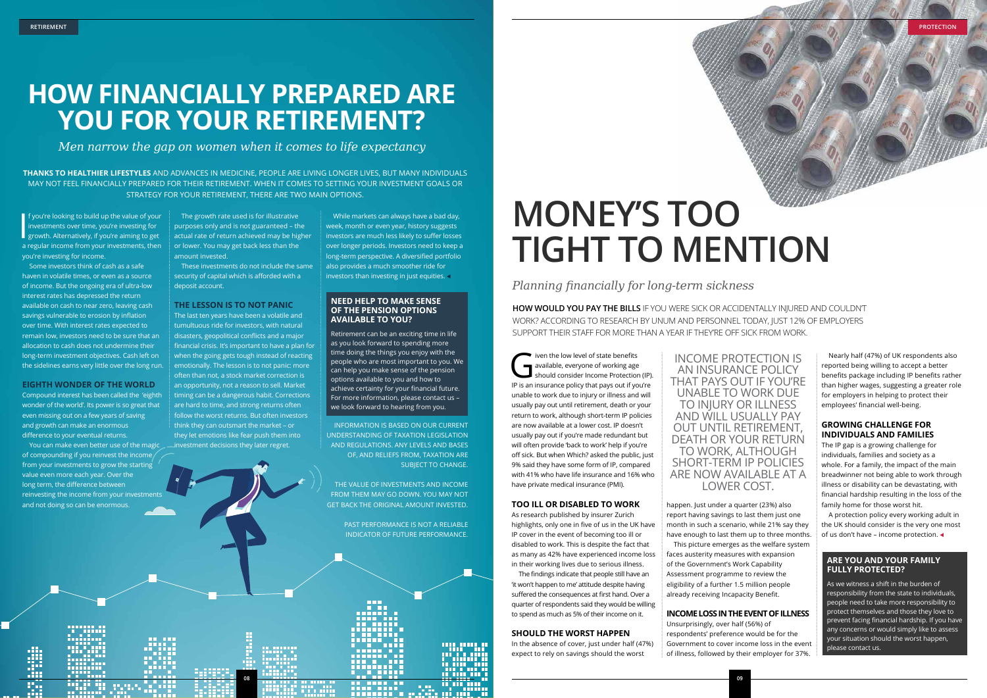## **HOW FINANCIALLY PREPARED ARE YOU FOR YOUR RETIREMENT?**

*Men narrow the gap on women when it comes to life expectancy*

I f you're looking to build up the value of your<br>investments over time, you're investing for<br>growth. Alternatively, if you're aiming to get<br>program from your investments than **f** you're looking to build up the value of your investments over time, you're investing for a regular income from your investments, then you're investing for income.

Some investors think of cash as a safe haven in volatile times, or even as a source of income. But the ongoing era of ultra-low interest rates has depressed the return available on cash to near zero, leaving cash savings vulnerable to erosion by inflation over time. With interest rates expected to remain low, investors need to be sure that an allocation to cash does not undermine their long-term investment objectives. Cash left on the sidelines earns very little over the long run.

#### **EIGHTH WONDER OF THE WORLD**

Compound interest has been called the 'eighth wonder of the world'. Its power is so great that even missing out on a few years of saving and growth can make an enormous difference to your eventual returns.

While markets can always have a bad day, week, month or even year, history suggests investors are much less likely to suffer losses over longer periods. Investors need to keep a long-term perspective. A diversified portfolio also provides a much smoother ride for investors than investing in just equities.  $\triangleleft$ 

You can make even better use of the magic of compounding if you reinvest the income from your investments to grow the starting value even more each year. Over the long term, the difference between reinvesting the income from your investments and not doing so can be enormous.

The growth rate used is for illustrative purposes only and is not guaranteed – the actual rate of return achieved may be higher or lower. You may get back less than the amount invested.

These investments do not include the same security of capital which is afforded with a deposit account.

#### **THE LESSON IS TO NOT PANIC**

The last ten years have been a volatile and tumultuous ride for investors, with natural disasters, geopolitical conflicts and a major financial crisis. It's important to have a plan for when the going gets tough instead of reacting emotionally. The lesson is to not panic: more often than not, a stock market correction is an opportunity, not a reason to sell. Market timing can be a dangerous habit. Corrections are hard to time, and strong returns often follow the worst returns. But often investors think they can outsmart the market – or they let emotions like fear push them into investment decisions they later regret.

The low level of state benefits<br>available, everyone of working age<br>should consider Income Protection available, everyone of working age should consider Income Protection (IP). IP is an insurance policy that pays out if you're unable to work due to injury or illness and will usually pay out until retirement, death or your return to work, although short-term IP policies are now available at a lower cost. IP doesn't usually pay out if you're made redundant but will often provide 'back to work' help if you're off sick. But when Which? asked the public, just 9% said they have some form of IP, compared with 41% who have life insurance and 16% who have private medical insurance (PMI).

THE VALUE OF INVESTMENTS AND INCOME FROM THEM MAY GO DOWN. YOU MAY NOT GET BACK THE ORIGINAL AMOUNT INVESTED.

> PAST PERFORMANCE IS NOT A RELIABLE INDICATOR OF FUTURE PERFORMANCE.

**THANKS TO HEALTHIER LIFESTYLES** AND ADVANCES IN MEDICINE, PEOPLE ARE LIVING LONGER LIVES, BUT MANY INDIVIDUALS MAY NOT FEEL FINANCIALLY PREPARED FOR THEIR RETIREMENT. WHEN IT COMES TO SETTING YOUR INVESTMENT GOALS OR STRATEGY FOR YOUR RETIREMENT, THERE ARE TWO MAIN OPTIONS.

> A protection policy every working adult in the UK should consider is the very one most of us don't have – income protection.  $\triangleleft$

#### **NEED HELP TO MAKE SENSE OF THE PENSION OPTIONS AVAILABLE TO YOU?**

Retirement can be an exciting time in life as you look forward to spending more time doing the things you enjoy with the people who are most important to you. We can help you make sense of the pension options available to you and how to achieve certainty for your financial future. For more information, please contact us – we look forward to hearing from you.

INFORMATION IS BASED ON OUR CURRENT UNDERSTANDING OF TAXATION LEGISLATION AND REGULATIONS. ANY LEVELS AND BASES OF, AND RELIEFS FROM, TAXATION ARE SUBIECT TO CHANGE.



## **MONEY'S TOO TIGHT TO MENTION**

*Planning financially for long-term sickness*

#### **TOO ILL OR DISABLED TO WORK**

As research published by insurer Zurich highlights, only one in five of us in the UK have IP cover in the event of becoming too ill or disabled to work. This is despite the fact that as many as 42% have experienced income loss in their working lives due to serious illness.

The findings indicate that people still have an 'it won't happen to me' attitude despite having suffered the consequences at first hand. Over a quarter of respondents said they would be willing to spend as much as 5% of their income on it.

#### **SHOULD THE WORST HAPPEN**

In the absence of cover, just under half (47%) expect to rely on savings should the worst

happen. Just under a quarter (23%) also report having savings to last them just one month in such a scenario, while 21% say they have enough to last them up to three months. This picture emerges as the welfare system faces austerity measures with expansion of the Government's Work Capability Assessment programme to review the eligibility of a further 1.5 million people already receiving Incapacity Benefit.

#### **INCOME LOSS IN THE EVENT OF ILLNESS**

Unsurprisingly, over half (56%) of respondents' preference would be for the Government to cover income loss in the event of illness, followed by their employer for 37%.

Nearly half (47%) of UK respondents also reported being willing to accept a better benefits package including IP benefits rather than higher wages, suggesting a greater role for employers in helping to protect their employees' financial well-being.

#### **GROWING CHALLENGE FOR INDIVIDUALS AND FAMILIES**

The IP gap is a growing challenge for individuals, families and society as a whole. For a family, the impact of the main breadwinner not being able to work through illness or disability can be devastating, with financial hardship resulting in the loss of the family home for those worst hit.

**HOW WOULD YOU PAY THE BILLS** IF YOU WERE SICK OR ACCIDENTALLY INJURED AND COULDN'T WORK? ACCORDING TO RESEARCH BY UNUM AND PERSONNEL TODAY, JUST 12% OF EMPLOYERS SUPPORT THEIR STAFF FOR MORE THAN A YEAR IF THEY'RE OFF SICK FROM WORK.

#### **ARE YOU AND YOUR FAMILY FULLY PROTECTED?**

As we witness a shift in the burden of responsibility from the state to individuals, people need to take more responsibility to protect themselves and those they love to prevent facing financial hardship. If you have any concerns or would simply like to assess your situation should the worst happen, please contact us.

#### INCOME PROTECTION IS AN INSURANCE POLICY THAT PAYS OUT IF YOU'RE UNABLE TO WORK DUE TO INJURY OR ILLNESS AND WILL USUALLY PAY OUT UNTIL RETIREMENT, DEATH OR YOUR RETURN TO WORK, ALTHOUGH SHORT-TERM IP POLICIES ARE NOW AVAILABLE AT A LOWER COST.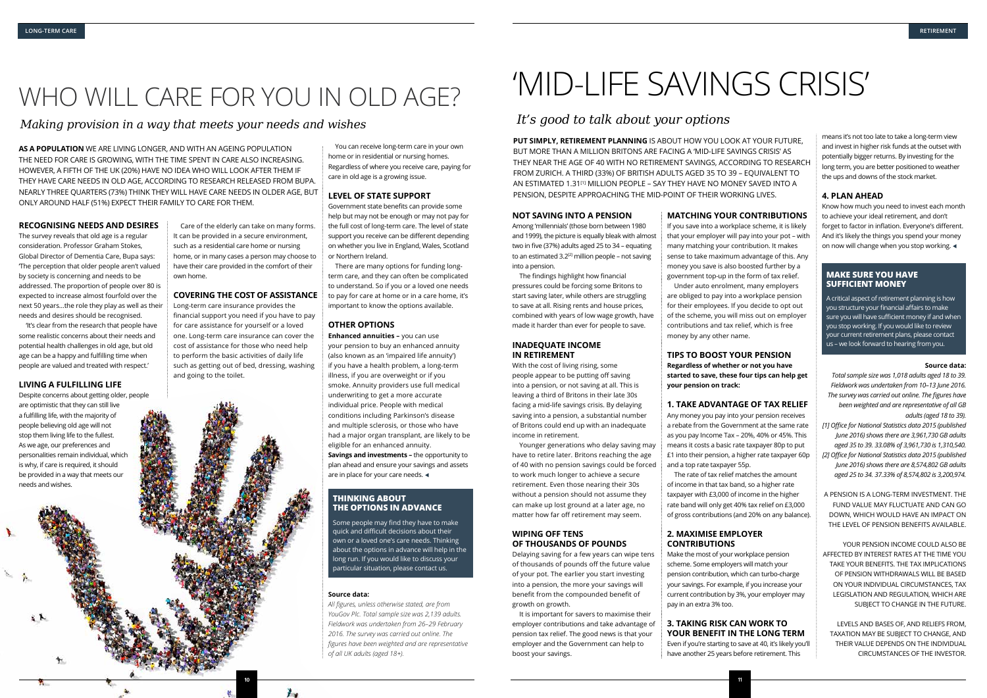#### **RECOGNISING NEEDS AND DESIRES**

The survey reveals that old age is a regular consideration. Professor Graham Stokes, Global Director of Dementia Care, Bupa says: 'The perception that older people aren't valued by society is concerning and needs to be addressed. The proportion of people over 80 is expected to increase almost fourfold over the next 50 years…the role they play as well as their needs and desires should be recognised.

'It's clear from the research that people have some realistic concerns about their needs and potential health challenges in old age, but old age can be a happy and fulfilling time when people are valued and treated with respect.'

#### **LIVING A FULFILLING LIFE**

Despite concerns about getting older, people are optimistic that they can still live a fulfilling life, with the majority of people believing old age will not stop them living life to the fullest. As we age, our preferences and personalities remain individual, which is why, if care is required, it should be provided in a way that meets our needs and wishes.

**Enhanced annuities –** you can use your pension to buy an enhanced annuity (also known as an 'impaired life annuity') if you have a health problem, a long-term illness, if you are overweight or if you smoke. Annuity providers use full medical underwriting to get a more accurate individual price. People with medical conditions including Parkinson's disease and multiple sclerosis, or those who have had a major organ transplant, are likely to be eligible for an enhanced annuity. **Savings and investments –** the opportunity to plan ahead and ensure your savings and assets are in place for your care needs.  $\triangleleft$ 

Care of the elderly can take on many forms. It can be provided in a secure environment, such as a residential care home or nursing home, or in many cases a person may choose to have their care provided in the comfort of their own home.

#### **COVERING THE COST OF ASSISTANCE**

Long-term care insurance provides the financial support you need if you have to pay for care assistance for yourself or a loved one. Long-term care insurance can cover the cost of assistance for those who need help to perform the basic activities of daily life such as getting out of bed, dressing, washing and going to the toilet.



You can receive long-term care in your own home or in residential or nursing homes. Regardless of where you receive care, paying for care in old age is a growing issue.

#### **LEVEL OF STATE SUPPORT**

Government state benefits can provide some help but may not be enough or may not pay for the full cost of long-term care. The level of state support you receive can be different depending on whether you live in England, Wales, Scotland or Northern Ireland.

There are many options for funding longterm care, and they can often be complicated to understand. So if you or a loved one needs to pay for care at home or in a care home, it's important to know the options available.

#### **OTHER OPTIONS**

#### **Source data:**

*All figures, unless otherwise stated, are from YouGov Plc. Total sample size was 2,139 adults. Fieldwork was undertaken from 26–29 February 2016. The survey was carried out online. The figures have been weighted and are representative of all UK adults (aged 18+).*

*Making provision in a way that meets your needs and wishes*

## WHO WILL CARE FOR YOU IN OLD AGE?

**AS A POPULATION** WE ARE LIVING LONGER, AND WITH AN AGEING POPULATION THE NEED FOR CARE IS GROWING, WITH THE TIME SPENT IN CARE ALSO INCREASING. HOWEVER, A FIFTH OF THE UK (20%) HAVE NO IDEA WHO WILL LOOK AFTER THEM IF THEY HAVE CARE NEEDS IN OLD AGE, ACCORDING TO RESEARCH RELEASED FROM BUPA. NEARLY THREE QUARTERS (73%) THINK THEY WILL HAVE CARE NEEDS IN OLDER AGE, BUT ONLY AROUND HALF (51%) EXPECT THEIR FAMILY TO CARE FOR THEM.

#### **THINKING ABOUT THE OPTIONS IN ADVANCE**

Some people may find they have to make quick and difficult decisions about their own or a loved one's care needs. Thinking about the options in advance will help in the long run. If you would like to discuss your particular situation, please contact us.

## 'MID-LIFE SAVINGS CRISIS'

Know how much you need to invest each month to achieve your ideal retirement, and don't forget to factor in inflation. Everyone's different. And it's likely the things you spend your money on now will change when you stop working.  $\triangleleft$ 

### *It's good to talk about your options*

**PUT SIMPLY, RETIREMENT PLANNING** IS ABOUT HOW YOU LOOK AT YOUR FUTURE, BUT MORE THAN A MILLION BRITONS ARE FACING A 'MID-LIFE SAVINGS CRISIS' AS THEY NEAR THE AGE OF 40 WITH NO RETIREMENT SAVINGS, ACCORDING TO RESEARCH FROM ZURICH. A THIRD (33%) OF BRITISH ADULTS AGED 35 TO 39 – EQUIVALENT TO AN ESTIMATED 1.31<sup>[1]</sup> MILLION PEOPLE – SAY THEY HAVE NO MONEY SAVED INTO A PENSION, DESPITE APPROACHING THE MID-POINT OF THEIR WORKING LIVES.

#### **NOT SAVING INTO A PENSION**

Among 'millennials' (those born between 1980 and 1999), the picture is equally bleak with almost two in five (37%) adults aged 25 to 34 – equating to an estimated  $3.2^{[2]}$  million people – not saving into a pension.

> A critical aspect of retirement planning is how you structure your financial affairs to make sure you will have sufficient money if and when you stop working. If you would like to review your current retirement plans, please contact us – we look forward to hearing from you.

The findings highlight how financial pressures could be forcing some Britons to start saving later, while others are struggling to save at all. Rising rents and house prices, combined with years of low wage growth, have made it harder than ever for people to save.

#### **INADEQUATE INCOME IN RETIREMENT**

With the cost of living rising, some people appear to be putting off saving into a pension, or not saving at all. This is leaving a third of Britons in their late 30s facing a mid-life savings crisis. By delaying saving into a pension, a substantial number of Britons could end up with an inadequate income in retirement.

Younger generations who delay saving may have to retire later. Britons reaching the age of 40 with no pension savings could be forced to work much longer to achieve a secure retirement. Even those nearing their 30s without a pension should not assume they can make up lost ground at a later age, no matter how far off retirement may seem.

#### **WIPING OFF TENS OF THOUSANDS OF POUNDS**

Delaying saving for a few years can wipe tens of thousands of pounds off the future value of your pot. The earlier you start investing into a pension, the more your savings will benefit from the compounded benefit of growth on growth.

It is important for savers to maximise their employer contributions and take advantage of pension tax relief. The good news is that your employer and the Government can help to boost your savings.

#### **MATCHING YOUR CONTRIBUTIONS**

If you save into a workplace scheme, it is likely

that your employer will pay into your pot – with many matching your contribution. It makes sense to take maximum advantage of this. Any money you save is also boosted further by a government top-up in the form of tax relief. Under auto enrolment, many employers are obliged to pay into a workplace pension for their employees. If you decide to opt out of the scheme, you will miss out on employer contributions and tax relief, which is free money by any other name.

#### **TIPS TO BOOST YOUR PENSION Regardless of whether or not you have started to save, these four tips can help get**

**your pension on track:**

#### **1. TAKE ADVANTAGE OF TAX RELIEF**

Any money you pay into your pension receives a rebate from the Government at the same rate as you pay Income Tax – 20%, 40% or 45%. This means it costs a basic rate taxpayer 80p to put £1 into their pension, a higher rate taxpayer 60p and a top rate taxpayer 55p.

The rate of tax relief matches the amount of income in that tax band, so a higher rate taxpayer with £3,000 of income in the higher rate band will only get 40% tax relief on £3,000 of gross contributions (and 20% on any balance).

#### **2. MAXIMISE EMPLOYER CONTRIBUTIONS**

Make the most of your workplace pension scheme. Some employers will match your pension contribution, which can turbo-charge your savings. For example, if you increase your current contribution by 3%, your employer may pay in an extra 3% too.

### **3. TAKING RISK CAN WORK TO YOUR BENEFIT IN THE LONG TERM**

Even if you're starting to save at 40, it's likely you'll have another 25 years before retirement. This

means it's not too late to take a long-term view and invest in higher risk funds at the outset with potentially bigger returns. By investing for the long term, you are better positioned to weather the ups and downs of the stock market.

#### **4. PLAN AHEAD**

#### **Source data:**

*Total sample size was 1,018 adults aged 18 to 39. Fieldwork was undertaken from 10–13 June 2016. The survey was carried out online. The figures have been weighted and are representative of all GB adults (aged 18 to 39).*

*[1] Office for National Statistics data 2015 (published June 2016) shows there are 3,961,730 GB adults aged 35 to 39. 33.08% of 3,961,730 is 1,310,540. [2] Office for National Statistics data 2015 (published June 2016) shows there are 8,574,802 GB adults aged 25 to 34. 37.33% of 8,574,802 is 3,200,974.*

A PENSION IS A LONG-TERM INVESTMENT. THE FUND VALUE MAY FLUCTUATE AND CAN GO DOWN, WHICH WOULD HAVE AN IMPACT ON THE LEVEL OF PENSION BENEFITS AVAILABLE.

YOUR PENSION INCOME COULD ALSO BE AFFECTED BY INTEREST RATES AT THE TIME YOU TAKE YOUR BENEFITS. THE TAX IMPLICATIONS OF PENSION WITHDRAWALS WILL BE BASED ON YOUR INDIVIDUAL CIRCUMSTANCES, TAX LEGISLATION AND REGULATION, WHICH ARE SUBIECT TO CHANGE IN THE FUTURE.

LEVELS AND BASES OF, AND RELIEFS FROM, TAXATION MAY BE SUBIECT TO CHANGE, AND THEIR VALUE DEPENDS ON THE INDIVIDUAL CIRCUMSTANCES OF THE INVESTOR.

**11**

#### **MAKE SURE YOU HAVE SUFFICIENT MONEY**